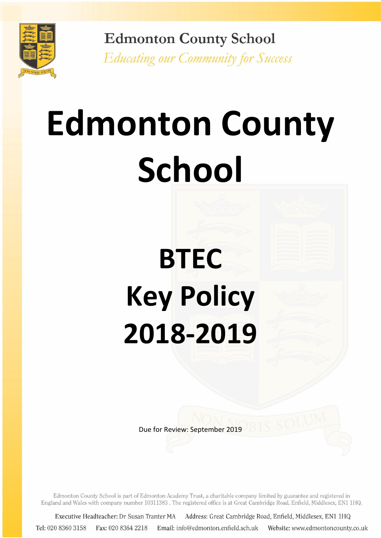

**Edmonton County School Educating our Community for Success** 

# **Edmonton County School**

# **BTEC Key Policy 2018-2019**

Due for Review: September 2019

Edmonton County School is part of Edmonton Academy Trust, a charitable company limited by guarantee and registered in England and Wales with company number 10311383. The registered office is at Great Cambridge Road, Enfield, Middlesex, EN1 1HQ.

Address: Great Cambridge Road, Enfield, Middlesex, EN1 1HQ Executive Headteacher: Dr Susan Tranter MA Tel: 020 8360 3158 Fax: 020 8364 2218 Email: info@edmonton.enfield.sch.uk Website: www.edmontoncounty.co.uk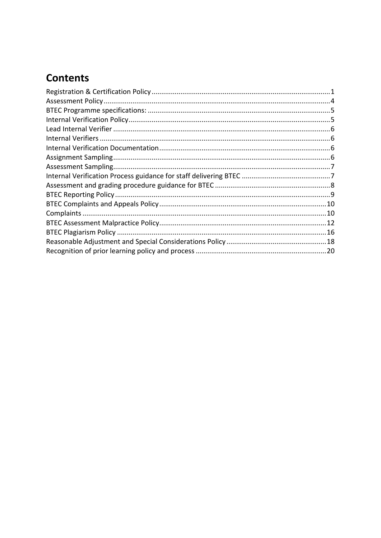# **Contents**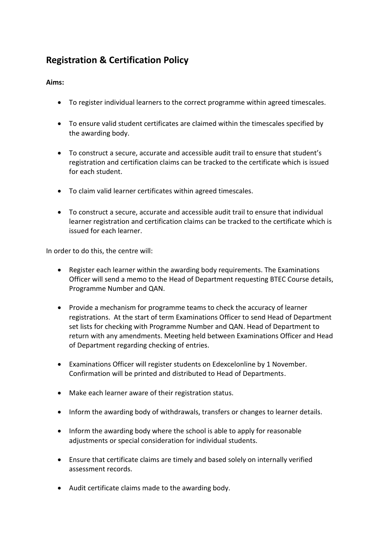# <span id="page-2-0"></span>**Registration & Certification Policy**

#### **Aims:**

- To register individual learners to the correct programme within agreed timescales.
- To ensure valid student certificates are claimed within the timescales specified by the awarding body.
- To construct a secure, accurate and accessible audit trail to ensure that student's registration and certification claims can be tracked to the certificate which is issued for each student.
- To claim valid learner certificates within agreed timescales.
- To construct a secure, accurate and accessible audit trail to ensure that individual learner registration and certification claims can be tracked to the certificate which is issued for each learner.

In order to do this, the centre will:

- Register each learner within the awarding body requirements. The Examinations Officer will send a memo to the Head of Department requesting BTEC Course details, Programme Number and QAN.
- Provide a mechanism for programme teams to check the accuracy of learner registrations. At the start of term Examinations Officer to send Head of Department set lists for checking with Programme Number and QAN. Head of Department to return with any amendments. Meeting held between Examinations Officer and Head of Department regarding checking of entries.
- Examinations Officer will register students on Edexcelonline by 1 November. Confirmation will be printed and distributed to Head of Departments.
- Make each learner aware of their registration status.
- Inform the awarding body of withdrawals, transfers or changes to learner details.
- Inform the awarding body where the school is able to apply for reasonable adjustments or special consideration for individual students.
- Ensure that certificate claims are timely and based solely on internally verified assessment records.
- Audit certificate claims made to the awarding body.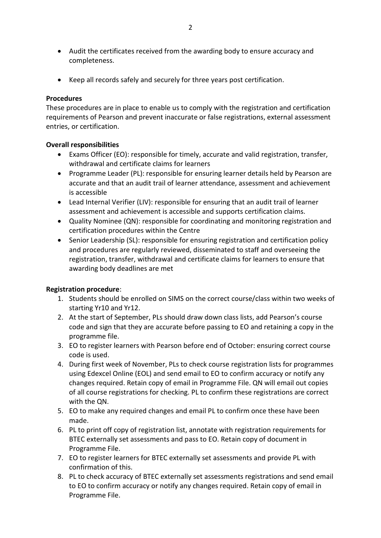- Audit the certificates received from the awarding body to ensure accuracy and completeness.
- Keep all records safely and securely for three years post certification.

#### **Procedures**

These procedures are in place to enable us to comply with the registration and certification requirements of Pearson and prevent inaccurate or false registrations, external assessment entries, or certification.

#### **Overall responsibilities**

- Exams Officer (EO): responsible for timely, accurate and valid registration, transfer, withdrawal and certificate claims for learners
- Programme Leader (PL): responsible for ensuring learner details held by Pearson are accurate and that an audit trail of learner attendance, assessment and achievement is accessible
- Lead Internal Verifier (LIV): responsible for ensuring that an audit trail of learner assessment and achievement is accessible and supports certification claims.
- Quality Nominee (QN): responsible for coordinating and monitoring registration and certification procedures within the Centre
- Senior Leadership (SL): responsible for ensuring registration and certification policy and procedures are regularly reviewed, disseminated to staff and overseeing the registration, transfer, withdrawal and certificate claims for learners to ensure that awarding body deadlines are met

#### **Registration procedure**:

- 1. Students should be enrolled on SIMS on the correct course/class within two weeks of starting Yr10 and Yr12.
- 2. At the start of September, PLs should draw down class lists, add Pearson's course code and sign that they are accurate before passing to EO and retaining a copy in the programme file.
- 3. EO to register learners with Pearson before end of October: ensuring correct course code is used.
- 4. During first week of November, PLs to check course registration lists for programmes using Edexcel Online (EOL) and send email to EO to confirm accuracy or notify any changes required. Retain copy of email in Programme File. QN will email out copies of all course registrations for checking. PL to confirm these registrations are correct with the QN.
- 5. EO to make any required changes and email PL to confirm once these have been made.
- 6. PL to print off copy of registration list, annotate with registration requirements for BTEC externally set assessments and pass to EO. Retain copy of document in Programme File.
- 7. EO to register learners for BTEC externally set assessments and provide PL with confirmation of this.
- 8. PL to check accuracy of BTEC externally set assessments registrations and send email to EO to confirm accuracy or notify any changes required. Retain copy of email in Programme File.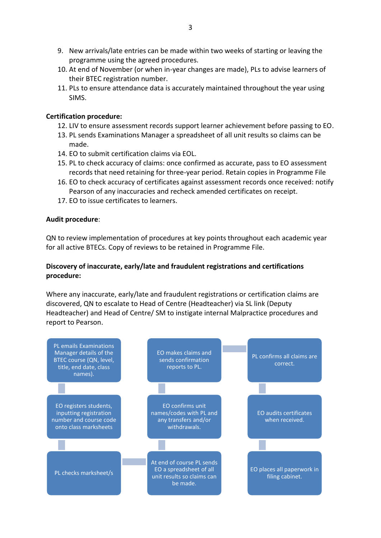- 9. New arrivals/late entries can be made within two weeks of starting or leaving the programme using the agreed procedures.
- 10. At end of November (or when in-year changes are made), PLs to advise learners of their BTEC registration number.
- 11. PLs to ensure attendance data is accurately maintained throughout the year using SIMS.

#### **Certification procedure:**

- 12. LIV to ensure assessment records support learner achievement before passing to EO.
- 13. PL sends Examinations Manager a spreadsheet of all unit results so claims can be made.
- 14. EO to submit certification claims via EOL.
- 15. PL to check accuracy of claims: once confirmed as accurate, pass to EO assessment records that need retaining for three-year period. Retain copies in Programme File
- 16. EO to check accuracy of certificates against assessment records once received: notify Pearson of any inaccuracies and recheck amended certificates on receipt.
- 17. EO to issue certificates to learners.

#### **Audit procedure**:

QN to review implementation of procedures at key points throughout each academic year for all active BTECs. Copy of reviews to be retained in Programme File.

#### **Discovery of inaccurate, early/late and fraudulent registrations and certifications procedure:**

Where any inaccurate, early/late and fraudulent registrations or certification claims are discovered, QN to escalate to Head of Centre (Headteacher) via SL link (Deputy Headteacher) and Head of Centre/ SM to instigate internal Malpractice procedures and report to Pearson.

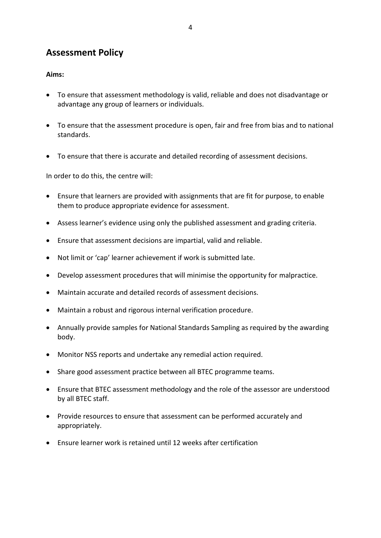# <span id="page-5-0"></span>**Assessment Policy**

#### **Aims:**

- To ensure that assessment methodology is valid, reliable and does not disadvantage or advantage any group of learners or individuals.
- To ensure that the assessment procedure is open, fair and free from bias and to national standards.
- To ensure that there is accurate and detailed recording of assessment decisions.

In order to do this, the centre will:

- Ensure that learners are provided with assignments that are fit for purpose, to enable them to produce appropriate evidence for assessment.
- Assess learner's evidence using only the published assessment and grading criteria.
- Ensure that assessment decisions are impartial, valid and reliable.
- Not limit or 'cap' learner achievement if work is submitted late.
- Develop assessment procedures that will minimise the opportunity for malpractice.
- Maintain accurate and detailed records of assessment decisions.
- Maintain a robust and rigorous internal verification procedure.
- Annually provide samples for National Standards Sampling as required by the awarding body.
- Monitor NSS reports and undertake any remedial action required.
- Share good assessment practice between all BTEC programme teams.
- Ensure that BTEC assessment methodology and the role of the assessor are understood by all BTEC staff.
- Provide resources to ensure that assessment can be performed accurately and appropriately.
- Ensure learner work is retained until 12 weeks after certification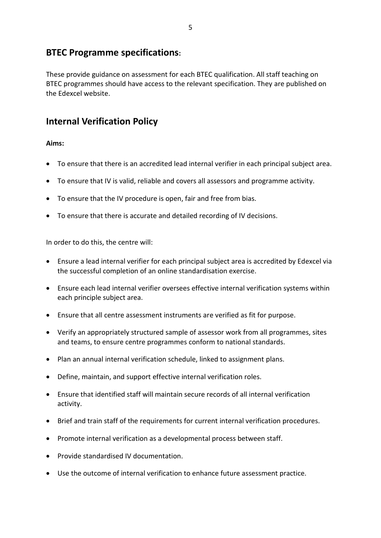# <span id="page-6-0"></span>**BTEC Programme specifications:**

These provide guidance on assessment for each BTEC qualification. All staff teaching on BTEC programmes should have access to the relevant specification. They are published on the Edexcel website.

# <span id="page-6-1"></span>**Internal Verification Policy**

#### **Aims:**

- To ensure that there is an accredited lead internal verifier in each principal subject area.
- To ensure that IV is valid, reliable and covers all assessors and programme activity.
- To ensure that the IV procedure is open, fair and free from bias.
- To ensure that there is accurate and detailed recording of IV decisions.

In order to do this, the centre will:

- Ensure a lead internal verifier for each principal subject area is accredited by Edexcel via the successful completion of an online standardisation exercise.
- Ensure each lead internal verifier oversees effective internal verification systems within each principle subject area.
- Ensure that all centre assessment instruments are verified as fit for purpose.
- Verify an appropriately structured sample of assessor work from all programmes, sites and teams, to ensure centre programmes conform to national standards.
- Plan an annual internal verification schedule, linked to assignment plans.
- Define, maintain, and support effective internal verification roles.
- Ensure that identified staff will maintain secure records of all internal verification activity.
- Brief and train staff of the requirements for current internal verification procedures.
- Promote internal verification as a developmental process between staff.
- Provide standardised IV documentation.
- Use the outcome of internal verification to enhance future assessment practice.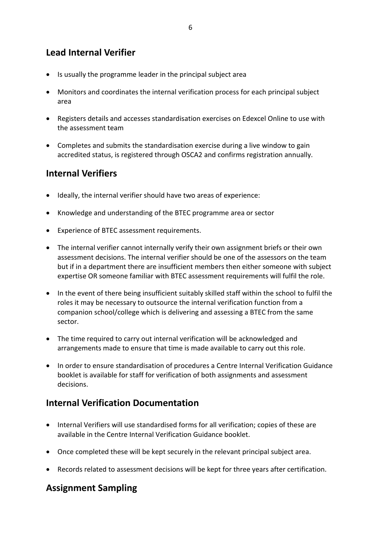6

# <span id="page-7-0"></span>**Lead Internal Verifier**

- Is usually the programme leader in the principal subject area
- Monitors and coordinates the internal verification process for each principal subject area
- Registers details and accesses standardisation exercises on Edexcel Online to use with the assessment team
- Completes and submits the standardisation exercise during a live window to gain accredited status, is registered through OSCA2 and confirms registration annually.

# <span id="page-7-1"></span>**Internal Verifiers**

- Ideally, the internal verifier should have two areas of experience:
- Knowledge and understanding of the BTEC programme area or sector
- Experience of BTEC assessment requirements.
- The internal verifier cannot internally verify their own assignment briefs or their own assessment decisions. The internal verifier should be one of the assessors on the team but if in a department there are insufficient members then either someone with subject expertise OR someone familiar with BTEC assessment requirements will fulfil the role.
- In the event of there being insufficient suitably skilled staff within the school to fulfil the roles it may be necessary to outsource the internal verification function from a companion school/college which is delivering and assessing a BTEC from the same sector.
- The time required to carry out internal verification will be acknowledged and arrangements made to ensure that time is made available to carry out this role.
- In order to ensure standardisation of procedures a Centre Internal Verification Guidance booklet is available for staff for verification of both assignments and assessment decisions.

# <span id="page-7-2"></span>**Internal Verification Documentation**

- Internal Verifiers will use standardised forms for all verification; copies of these are available in the Centre Internal Verification Guidance booklet.
- Once completed these will be kept securely in the relevant principal subject area.
- Records related to assessment decisions will be kept for three years after certification.

# <span id="page-7-3"></span>**Assignment Sampling**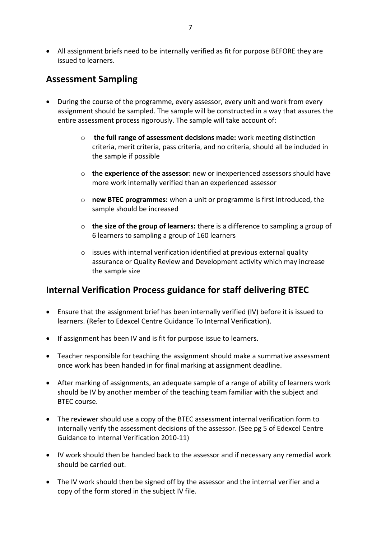All assignment briefs need to be internally verified as fit for purpose BEFORE they are issued to learners.

# <span id="page-8-0"></span>**Assessment Sampling**

- During the course of the programme, every assessor, every unit and work from every assignment should be sampled. The sample will be constructed in a way that assures the entire assessment process rigorously. The sample will take account of:
	- o **the full range of assessment decisions made:** work meeting distinction criteria, merit criteria, pass criteria, and no criteria, should all be included in the sample if possible
	- o **the experience of the assessor:** new or inexperienced assessors should have more work internally verified than an experienced assessor
	- o **new BTEC programmes:** when a unit or programme is first introduced, the sample should be increased
	- o **the size of the group of learners:** there is a difference to sampling a group of 6 learners to sampling a group of 160 learners
	- $\circ$  issues with internal verification identified at previous external quality assurance or Quality Review and Development activity which may increase the sample size

# <span id="page-8-1"></span>**Internal Verification Process guidance for staff delivering BTEC**

- Ensure that the assignment brief has been internally verified (IV) before it is issued to learners. (Refer to Edexcel Centre Guidance To Internal Verification).
- If assignment has been IV and is fit for purpose issue to learners.
- Teacher responsible for teaching the assignment should make a summative assessment once work has been handed in for final marking at assignment deadline.
- After marking of assignments, an adequate sample of a range of ability of learners work should be IV by another member of the teaching team familiar with the subject and BTEC course.
- The reviewer should use a copy of the BTEC assessment internal verification form to internally verify the assessment decisions of the assessor. (See pg 5 of Edexcel Centre Guidance to Internal Verification 2010-11)
- IV work should then be handed back to the assessor and if necessary any remedial work should be carried out.
- The IV work should then be signed off by the assessor and the internal verifier and a copy of the form stored in the subject IV file.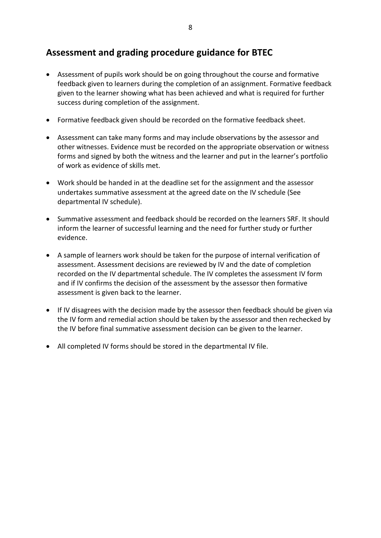# <span id="page-9-0"></span>**Assessment and grading procedure guidance for BTEC**

- Assessment of pupils work should be on going throughout the course and formative feedback given to learners during the completion of an assignment. Formative feedback given to the learner showing what has been achieved and what is required for further success during completion of the assignment.
- Formative feedback given should be recorded on the formative feedback sheet.
- Assessment can take many forms and may include observations by the assessor and other witnesses. Evidence must be recorded on the appropriate observation or witness forms and signed by both the witness and the learner and put in the learner's portfolio of work as evidence of skills met.
- Work should be handed in at the deadline set for the assignment and the assessor undertakes summative assessment at the agreed date on the IV schedule (See departmental IV schedule).
- Summative assessment and feedback should be recorded on the learners SRF. It should inform the learner of successful learning and the need for further study or further evidence.
- A sample of learners work should be taken for the purpose of internal verification of assessment. Assessment decisions are reviewed by IV and the date of completion recorded on the IV departmental schedule. The IV completes the assessment IV form and if IV confirms the decision of the assessment by the assessor then formative assessment is given back to the learner.
- If IV disagrees with the decision made by the assessor then feedback should be given via the IV form and remedial action should be taken by the assessor and then rechecked by the IV before final summative assessment decision can be given to the learner.
- All completed IV forms should be stored in the departmental IV file.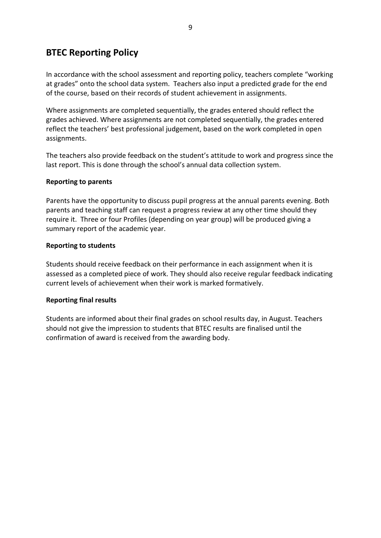# <span id="page-10-0"></span>**BTEC Reporting Policy**

In accordance with the school assessment and reporting policy, teachers complete "working at grades" onto the school data system. Teachers also input a predicted grade for the end of the course, based on their records of student achievement in assignments.

Where assignments are completed sequentially, the grades entered should reflect the grades achieved. Where assignments are not completed sequentially, the grades entered reflect the teachers' best professional judgement, based on the work completed in open assignments.

The teachers also provide feedback on the student's attitude to work and progress since the last report. This is done through the school's annual data collection system.

#### **Reporting to parents**

Parents have the opportunity to discuss pupil progress at the annual parents evening. Both parents and teaching staff can request a progress review at any other time should they require it. Three or four Profiles (depending on year group) will be produced giving a summary report of the academic year.

#### **Reporting to students**

Students should receive feedback on their performance in each assignment when it is assessed as a completed piece of work. They should also receive regular feedback indicating current levels of achievement when their work is marked formatively.

#### **Reporting final results**

Students are informed about their final grades on school results day, in August. Teachers should not give the impression to students that BTEC results are finalised until the confirmation of award is received from the awarding body.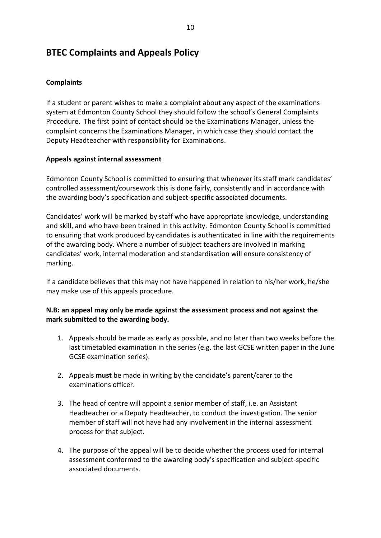# <span id="page-11-0"></span>**BTEC Complaints and Appeals Policy**

#### <span id="page-11-1"></span>**Complaints**

If a student or parent wishes to make a complaint about any aspect of the examinations system at Edmonton County School they should follow the school's General Complaints Procedure. The first point of contact should be the Examinations Manager, unless the complaint concerns the Examinations Manager, in which case they should contact the Deputy Headteacher with responsibility for Examinations.

#### **Appeals against internal assessment**

Edmonton County School is committed to ensuring that whenever its staff mark candidates' controlled assessment/coursework this is done fairly, consistently and in accordance with the awarding body's specification and subject-specific associated documents.

Candidates' work will be marked by staff who have appropriate knowledge, understanding and skill, and who have been trained in this activity. Edmonton County School is committed to ensuring that work produced by candidates is authenticated in line with the requirements of the awarding body. Where a number of subject teachers are involved in marking candidates' work, internal moderation and standardisation will ensure consistency of marking.

If a candidate believes that this may not have happened in relation to his/her work, he/she may make use of this appeals procedure.

#### **N.B: an appeal may only be made against the assessment process and not against the mark submitted to the awarding body.**

- 1. Appeals should be made as early as possible, and no later than two weeks before the last timetabled examination in the series (e.g. the last GCSE written paper in the June GCSE examination series).
- 2. Appeals **must** be made in writing by the candidate's parent/carer to the examinations officer.
- 3. The head of centre will appoint a senior member of staff, i.e. an Assistant Headteacher or a Deputy Headteacher, to conduct the investigation. The senior member of staff will not have had any involvement in the internal assessment process for that subject.
- 4. The purpose of the appeal will be to decide whether the process used for internal assessment conformed to the awarding body's specification and subject-specific associated documents.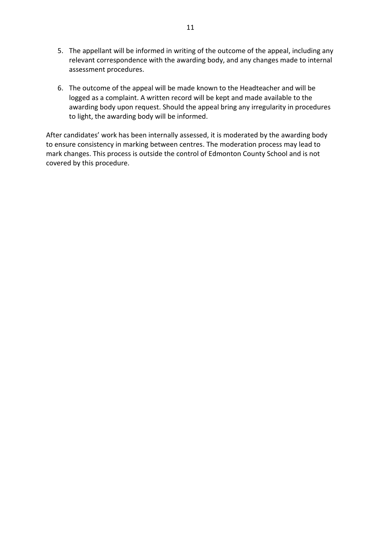- 5. The appellant will be informed in writing of the outcome of the appeal, including any relevant correspondence with the awarding body, and any changes made to internal assessment procedures.
- 6. The outcome of the appeal will be made known to the Headteacher and will be logged as a complaint. A written record will be kept and made available to the awarding body upon request. Should the appeal bring any irregularity in procedures to light, the awarding body will be informed.

After candidates' work has been internally assessed, it is moderated by the awarding body to ensure consistency in marking between centres. The moderation process may lead to mark changes. This process is outside the control of Edmonton County School and is not covered by this procedure.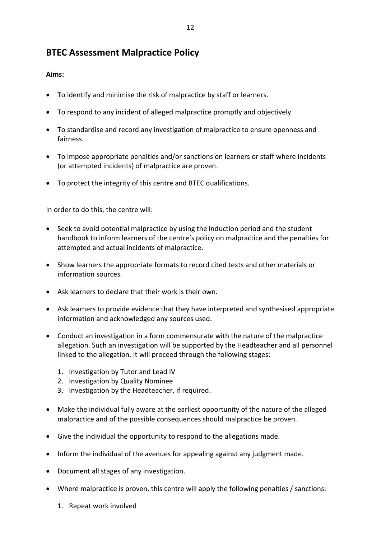# <span id="page-13-0"></span>**BTEC Assessment Malpractice Policy**

#### **Aims:**

- To identify and minimise the risk of malpractice by staff or learners.
- To respond to any incident of alleged malpractice promptly and objectively.
- To standardise and record any investigation of malpractice to ensure openness and fairness.
- To impose appropriate penalties and/or sanctions on learners or staff where incidents (or attempted incidents) of malpractice are proven.
- To protect the integrity of this centre and BTEC qualifications.

In order to do this, the centre will:

- Seek to avoid potential malpractice by using the induction period and the student handbook to inform learners of the centre's policy on malpractice and the penalties for attempted and actual incidents of malpractice.
- Show learners the appropriate formats to record cited texts and other materials or information sources.
- Ask learners to declare that their work is their own.
- Ask learners to provide evidence that they have interpreted and synthesised appropriate information and acknowledged any sources used.
- Conduct an investigation in a form commensurate with the nature of the malpractice allegation. Such an investigation will be supported by the Headteacher and all personnel linked to the allegation. It will proceed through the following stages:
	- 1. Investigation by Tutor and Lead IV
	- 2. Investigation by Quality Nominee
	- 3. Investigation by the Headteacher, if required.
- Make the individual fully aware at the earliest opportunity of the nature of the alleged malpractice and of the possible consequences should malpractice be proven.
- Give the individual the opportunity to respond to the allegations made.
- Inform the individual of the avenues for appealing against any judgment made.
- Document all stages of any investigation.
- Where malpractice is proven, this centre will apply the following penalties / sanctions:
	- 1. Repeat work involved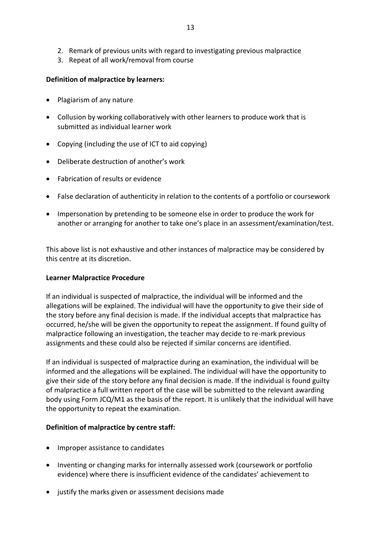- 2. Remark of previous units with regard to investigating previous malpractice
- 3. Repeat of all work/removal from course

#### **Definition of malpractice by learners:**

- Plagiarism of any nature
- Collusion by working collaboratively with other learners to produce work that is submitted as individual learner work
- Copying (including the use of ICT to aid copying)
- Deliberate destruction of another's work
- Fabrication of results or evidence
- False declaration of authenticity in relation to the contents of a portfolio or coursework
- Impersonation by pretending to be someone else in order to produce the work for another or arranging for another to take one's place in an assessment/examination/test.

This above list is not exhaustive and other instances of malpractice may be considered by this centre at its discretion.

#### **Learner Malpractice Procedure**

If an individual is suspected of malpractice, the individual will be informed and the allegations will be explained. The individual will have the opportunity to give their side of the story before any final decision is made. If the individual accepts that malpractice has occurred, he/she will be given the opportunity to repeat the assignment. If found guilty of malpractice following an investigation, the teacher may decide to re-mark previous assignments and these could also be rejected if similar concerns are identified.

If an individual is suspected of malpractice during an examination, the individual will be informed and the allegations will be explained. The individual will have the opportunity to give their side of the story before any final decision is made. If the individual is found guilty of malpractice a full written report of the case will be submitted to the relevant awarding body using Form JCQ/M1 as the basis of the report. It is unlikely that the individual will have the opportunity to repeat the examination.

#### **Definition of malpractice by centre staff:**

- Improper assistance to candidates
- Inventing or changing marks for internally assessed work (coursework or portfolio evidence) where there is insufficient evidence of the candidates' achievement to
- justify the marks given or assessment decisions made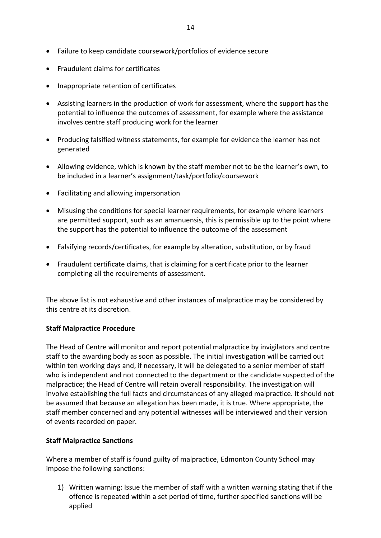- **•** Fraudulent claims for certificates
- Inappropriate retention of certificates
- Assisting learners in the production of work for assessment, where the support has the potential to influence the outcomes of assessment, for example where the assistance involves centre staff producing work for the learner
- Producing falsified witness statements, for example for evidence the learner has not generated
- Allowing evidence, which is known by the staff member not to be the learner's own, to be included in a learner's assignment/task/portfolio/coursework
- Facilitating and allowing impersonation
- Misusing the conditions for special learner requirements, for example where learners are permitted support, such as an amanuensis, this is permissible up to the point where the support has the potential to influence the outcome of the assessment
- Falsifying records/certificates, for example by alteration, substitution, or by fraud
- Fraudulent certificate claims, that is claiming for a certificate prior to the learner completing all the requirements of assessment.

The above list is not exhaustive and other instances of malpractice may be considered by this centre at its discretion.

#### **Staff Malpractice Procedure**

The Head of Centre will monitor and report potential malpractice by invigilators and centre staff to the awarding body as soon as possible. The initial investigation will be carried out within ten working days and, if necessary, it will be delegated to a senior member of staff who is independent and not connected to the department or the candidate suspected of the malpractice; the Head of Centre will retain overall responsibility. The investigation will involve establishing the full facts and circumstances of any alleged malpractice. It should not be assumed that because an allegation has been made, it is true. Where appropriate, the staff member concerned and any potential witnesses will be interviewed and their version of events recorded on paper.

#### **Staff Malpractice Sanctions**

Where a member of staff is found guilty of malpractice, Edmonton County School may impose the following sanctions:

1) Written warning: Issue the member of staff with a written warning stating that if the offence is repeated within a set period of time, further specified sanctions will be applied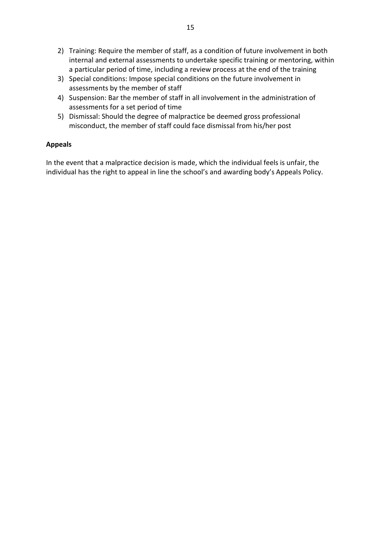- 2) Training: Require the member of staff, as a condition of future involvement in both internal and external assessments to undertake specific training or mentoring, within a particular period of time, including a review process at the end of the training
- 3) Special conditions: Impose special conditions on the future involvement in assessments by the member of staff
- 4) Suspension: Bar the member of staff in all involvement in the administration of assessments for a set period of time
- 5) Dismissal: Should the degree of malpractice be deemed gross professional misconduct, the member of staff could face dismissal from his/her post

#### **Appeals**

In the event that a malpractice decision is made, which the individual feels is unfair, the individual has the right to appeal in line the school's and awarding body's Appeals Policy.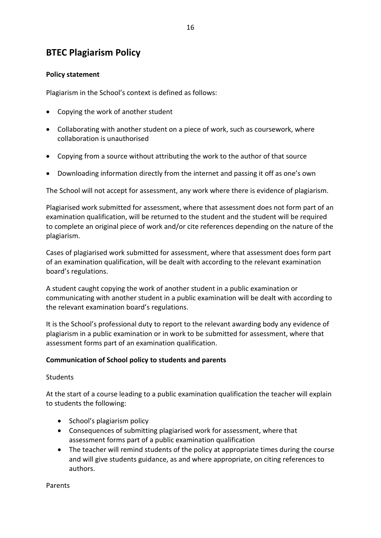# <span id="page-17-0"></span>**BTEC Plagiarism Policy**

#### **Policy statement**

Plagiarism in the School's context is defined as follows:

- Copying the work of another student
- Collaborating with another student on a piece of work, such as coursework, where collaboration is unauthorised
- Copying from a source without attributing the work to the author of that source
- Downloading information directly from the internet and passing it off as one's own

The School will not accept for assessment, any work where there is evidence of plagiarism.

Plagiarised work submitted for assessment, where that assessment does not form part of an examination qualification, will be returned to the student and the student will be required to complete an original piece of work and/or cite references depending on the nature of the plagiarism.

Cases of plagiarised work submitted for assessment, where that assessment does form part of an examination qualification, will be dealt with according to the relevant examination board's regulations.

A student caught copying the work of another student in a public examination or communicating with another student in a public examination will be dealt with according to the relevant examination board's regulations.

It is the School's professional duty to report to the relevant awarding body any evidence of plagiarism in a public examination or in work to be submitted for assessment, where that assessment forms part of an examination qualification.

#### **Communication of School policy to students and parents**

**Students** 

At the start of a course leading to a public examination qualification the teacher will explain to students the following:

- School's plagiarism policy
- Consequences of submitting plagiarised work for assessment, where that assessment forms part of a public examination qualification
- The teacher will remind students of the policy at appropriate times during the course and will give students guidance, as and where appropriate, on citing references to authors.

Parents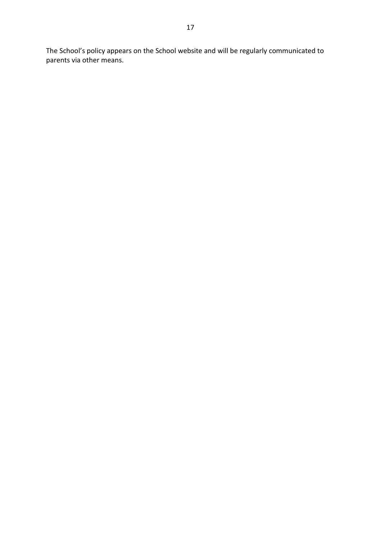The School's policy appears on the School website and will be regularly communicated to parents via other means.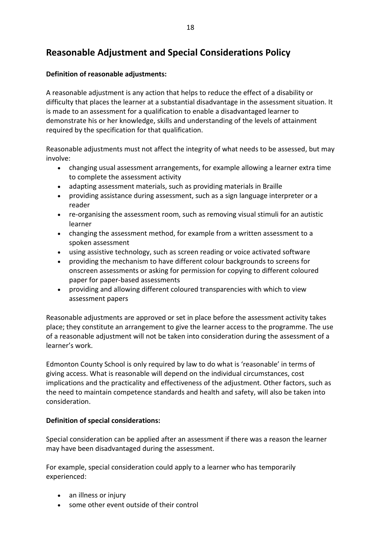# <span id="page-19-0"></span>**Reasonable Adjustment and Special Considerations Policy**

#### **Definition of reasonable adjustments:**

A reasonable adjustment is any action that helps to reduce the effect of a disability or difficulty that places the learner at a substantial disadvantage in the assessment situation. It is made to an assessment for a qualification to enable a disadvantaged learner to demonstrate his or her knowledge, skills and understanding of the levels of attainment required by the specification for that qualification.

Reasonable adjustments must not affect the integrity of what needs to be assessed, but may involve:

- changing usual assessment arrangements, for example allowing a learner extra time to complete the assessment activity
- adapting assessment materials, such as providing materials in Braille
- providing assistance during assessment, such as a sign language interpreter or a reader
- re-organising the assessment room, such as removing visual stimuli for an autistic learner
- changing the assessment method, for example from a written assessment to a spoken assessment
- using assistive technology, such as screen reading or voice activated software
- providing the mechanism to have different colour backgrounds to screens for onscreen assessments or asking for permission for copying to different coloured paper for paper-based assessments
- providing and allowing different coloured transparencies with which to view assessment papers

Reasonable adjustments are approved or set in place before the assessment activity takes place; they constitute an arrangement to give the learner access to the programme. The use of a reasonable adjustment will not be taken into consideration during the assessment of a learner's work.

Edmonton County School is only required by law to do what is 'reasonable' in terms of giving access. What is reasonable will depend on the individual circumstances, cost implications and the practicality and effectiveness of the adjustment. Other factors, such as the need to maintain competence standards and health and safety, will also be taken into consideration.

#### **Definition of special considerations:**

Special consideration can be applied after an assessment if there was a reason the learner may have been disadvantaged during the assessment.

For example, special consideration could apply to a learner who has temporarily experienced:

- an illness or injury
- some other event outside of their control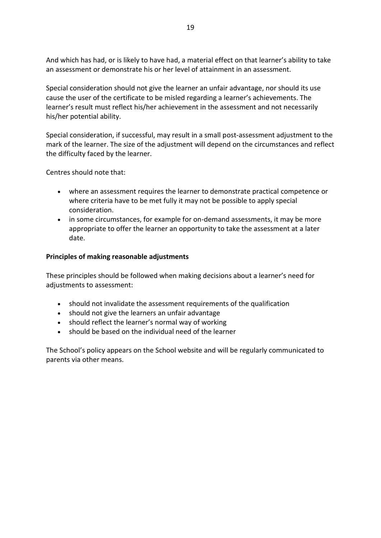And which has had, or is likely to have had, a material effect on that learner's ability to take an assessment or demonstrate his or her level of attainment in an assessment.

Special consideration should not give the learner an unfair advantage, nor should its use cause the user of the certificate to be misled regarding a learner's achievements. The learner's result must reflect his/her achievement in the assessment and not necessarily his/her potential ability.

Special consideration, if successful, may result in a small post-assessment adjustment to the mark of the learner. The size of the adjustment will depend on the circumstances and reflect the difficulty faced by the learner.

Centres should note that:

- where an assessment requires the learner to demonstrate practical competence or where criteria have to be met fully it may not be possible to apply special consideration.
- in some circumstances, for example for on-demand assessments, it may be more appropriate to offer the learner an opportunity to take the assessment at a later date.

#### **Principles of making reasonable adjustments**

These principles should be followed when making decisions about a learner's need for adjustments to assessment:

- should not invalidate the assessment requirements of the qualification
- should not give the learners an unfair advantage
- should reflect the learner's normal way of working
- should be based on the individual need of the learner

The School's policy appears on the School website and will be regularly communicated to parents via other means.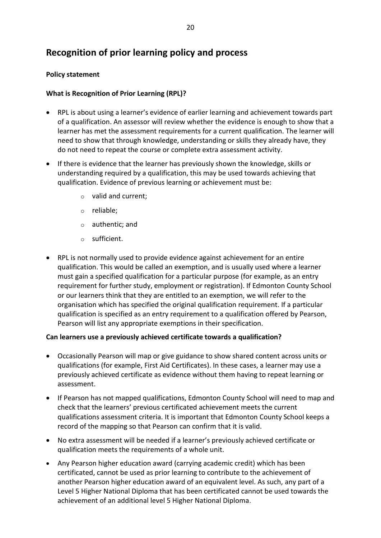# <span id="page-21-0"></span>**Recognition of prior learning policy and process**

#### **Policy statement**

#### **What is Recognition of Prior Learning (RPL)?**

- RPL is about using a learner's evidence of earlier learning and achievement towards part of a qualification. An assessor will review whether the evidence is enough to show that a learner has met the assessment requirements for a current qualification. The learner will need to show that through knowledge, understanding or skills they already have, they do not need to repeat the course or complete extra assessment activity.
- If there is evidence that the learner has previously shown the knowledge, skills or understanding required by a qualification, this may be used towards achieving that qualification. Evidence of previous learning or achievement must be:
	- o valid and current;
	- o reliable;
	- o authentic; and
	- o sufficient.
- RPL is not normally used to provide evidence against achievement for an entire qualification. This would be called an exemption, and is usually used where a learner must gain a specified qualification for a particular purpose (for example, as an entry requirement for further study, employment or registration). If Edmonton County School or our learners think that they are entitled to an exemption, we will refer to the organisation which has specified the original qualification requirement. If a particular qualification is specified as an entry requirement to a qualification offered by Pearson, Pearson will list any appropriate exemptions in their specification.

#### **Can learners use a previously achieved certificate towards a qualification?**

- Occasionally Pearson will map or give guidance to show shared content across units or qualifications (for example, First Aid Certificates). In these cases, a learner may use a previously achieved certificate as evidence without them having to repeat learning or assessment.
- If Pearson has not mapped qualifications, Edmonton County School will need to map and check that the learners' previous certificated achievement meets the current qualifications assessment criteria. It is important that Edmonton County School keeps a record of the mapping so that Pearson can confirm that it is valid.
- No extra assessment will be needed if a learner's previously achieved certificate or qualification meets the requirements of a whole unit.
- Any Pearson higher education award (carrying academic credit) which has been certificated, cannot be used as prior learning to contribute to the achievement of another Pearson higher education award of an equivalent level. As such, any part of a Level 5 Higher National Diploma that has been certificated cannot be used towards the achievement of an additional level 5 Higher National Diploma.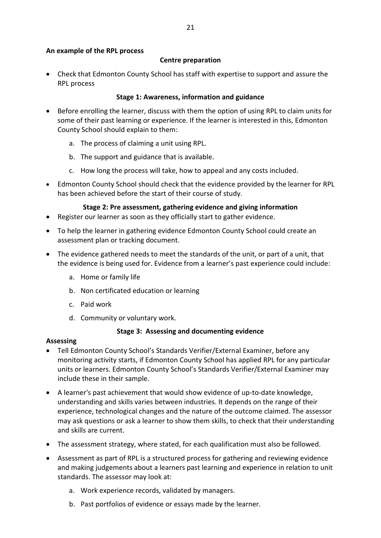#### **An example of the RPL process**

#### **Centre preparation**

 Check that Edmonton County School has staff with expertise to support and assure the RPL process

#### **Stage 1: Awareness, information and guidance**

- Before enrolling the learner, discuss with them the option of using RPL to claim units for some of their past learning or experience. If the learner is interested in this, Edmonton County School should explain to them:
	- a. The process of claiming a unit using RPL.
	- b. The support and guidance that is available.
	- c. How long the process will take, how to appeal and any costs included.
- Edmonton County School should check that the evidence provided by the learner for RPL has been achieved before the start of their course of study.

#### **Stage 2: Pre assessment, gathering evidence and giving information**

- Register our learner as soon as they officially start to gather evidence.
- To help the learner in gathering evidence Edmonton County School could create an assessment plan or tracking document.
- The evidence gathered needs to meet the standards of the unit, or part of a unit, that the evidence is being used for. Evidence from a learner's past experience could include:
	- a. Home or family life
	- b. Non certificated education or learning
	- c. Paid work
	- d. Community or voluntary work.

#### **Stage 3: Assessing and documenting evidence**

#### **Assessing**

- Tell Edmonton County School's Standards Verifier/External Examiner, before any monitoring activity starts, if Edmonton County School has applied RPL for any particular units or learners. Edmonton County School's Standards Verifier/External Examiner may include these in their sample.
- A learner's past achievement that would show evidence of up-to-date knowledge, understanding and skills varies between industries. It depends on the range of their experience, technological changes and the nature of the outcome claimed. The assessor may ask questions or ask a learner to show them skills, to check that their understanding and skills are current.
- The assessment strategy, where stated, for each qualification must also be followed.
- Assessment as part of RPL is a structured process for gathering and reviewing evidence and making judgements about a learners past learning and experience in relation to unit standards. The assessor may look at:
	- a. Work experience records, validated by managers.
	- b. Past portfolios of evidence or essays made by the learner.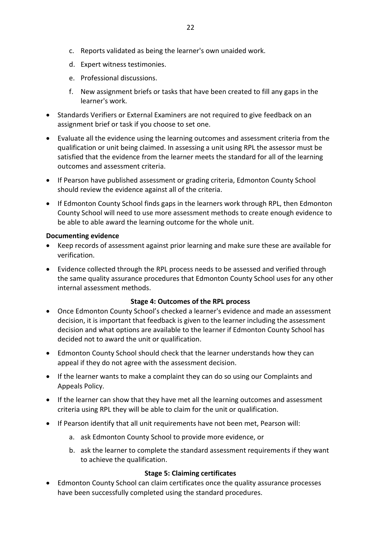- d. Expert witness testimonies.
- e. Professional discussions.
- f. New assignment briefs or tasks that have been created to fill any gaps in the learner's work.
- Standards Verifiers or External Examiners are not required to give feedback on an assignment brief or task if you choose to set one.
- Evaluate all the evidence using the learning outcomes and assessment criteria from the qualification or unit being claimed. In assessing a unit using RPL the assessor must be satisfied that the evidence from the learner meets the standard for all of the learning outcomes and assessment criteria.
- If Pearson have published assessment or grading criteria, Edmonton County School should review the evidence against all of the criteria.
- If Edmonton County School finds gaps in the learners work through RPL, then Edmonton County School will need to use more assessment methods to create enough evidence to be able to able award the learning outcome for the whole unit.

#### **Documenting evidence**

- Keep records of assessment against prior learning and make sure these are available for verification.
- Evidence collected through the RPL process needs to be assessed and verified through the same quality assurance procedures that Edmonton County School uses for any other internal assessment methods.

# **Stage 4: Outcomes of the RPL process**

- Once Edmonton County School's checked a learner's evidence and made an assessment decision, it is important that feedback is given to the learner including the assessment decision and what options are available to the learner if Edmonton County School has decided not to award the unit or qualification.
- Edmonton County School should check that the learner understands how they can appeal if they do not agree with the assessment decision.
- If the learner wants to make a complaint they can do so using our Complaints and Appeals Policy.
- If the learner can show that they have met all the learning outcomes and assessment criteria using RPL they will be able to claim for the unit or qualification.
- If Pearson identify that all unit requirements have not been met, Pearson will:
	- a. ask Edmonton County School to provide more evidence, or
	- b. ask the learner to complete the standard assessment requirements if they want to achieve the qualification.

# **Stage 5: Claiming certificates**

 Edmonton County School can claim certificates once the quality assurance processes have been successfully completed using the standard procedures.